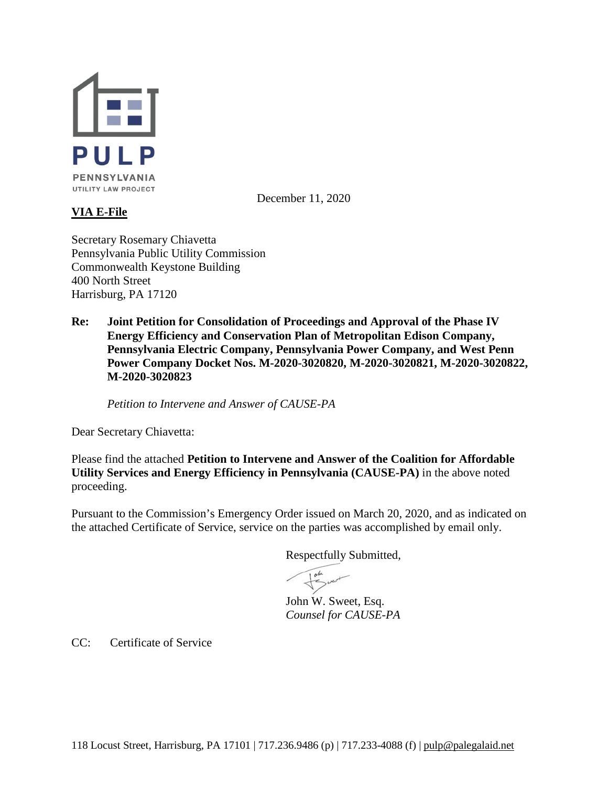

December 11, 2020

# **VIA E-File**

Secretary Rosemary Chiavetta Pennsylvania Public Utility Commission Commonwealth Keystone Building 400 North Street Harrisburg, PA 17120

**Re: Joint Petition for Consolidation of Proceedings and Approval of the Phase IV Energy Efficiency and Conservation Plan of Metropolitan Edison Company, Pennsylvania Electric Company, Pennsylvania Power Company, and West Penn Power Company Docket Nos. M-2020-3020820, M-2020-3020821, M-2020-3020822, M-2020-3020823**

*Petition to Intervene and Answer of CAUSE-PA* 

Dear Secretary Chiavetta:

Please find the attached **Petition to Intervene and Answer of the Coalition for Affordable Utility Services and Energy Efficiency in Pennsylvania (CAUSE-PA)** in the above noted proceeding.

Pursuant to the Commission's Emergency Order issued on March 20, 2020, and as indicated on the attached Certificate of Service, service on the parties was accomplished by email only.

Respectfully Submitted,

John went

John W. Sweet, Esq. *Counsel for CAUSE-PA*

CC: Certificate of Service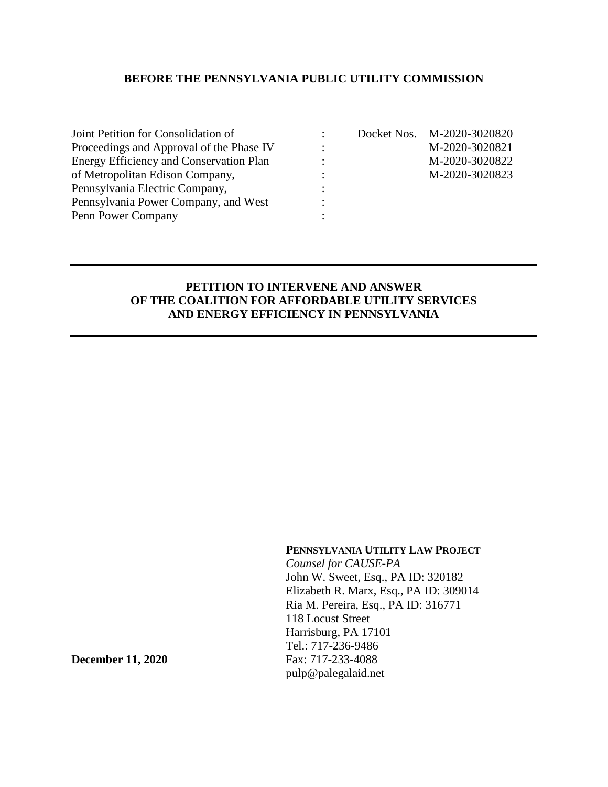## **BEFORE THE PENNSYLVANIA PUBLIC UTILITY COMMISSION**

| Joint Petition for Consolidation of            |                |
|------------------------------------------------|----------------|
| Proceedings and Approval of the Phase IV       |                |
| <b>Energy Efficiency and Conservation Plan</b> |                |
| of Metropolitan Edison Company,                | $\ddot{\cdot}$ |
| Pennsylvania Electric Company,                 |                |
| Pennsylvania Power Company, and West           | $\ddot{\cdot}$ |
| Penn Power Company                             |                |

: Docket Nos. M-2020-3020820  $\text{M}-2020-3020821$  $\mu$  = M-2020-3020822 of Metropolitan Edison Company, : M-2020-3020823

## **PETITION TO INTERVENE AND ANSWER OF THE COALITION FOR AFFORDABLE UTILITY SERVICES AND ENERGY EFFICIENCY IN PENNSYLVANIA**

### **PENNSYLVANIA UTILITY LAW PROJECT**

*Counsel for CAUSE-PA* John W. Sweet, Esq., PA ID: 320182 Elizabeth R. Marx, Esq., PA ID: 309014 Ria M. Pereira, Esq., PA ID: 316771 118 Locust Street Harrisburg, PA 17101 Tel.: 717-236-9486 **December 11, 2020** Fax: 717-233-4088 pulp@palegalaid.net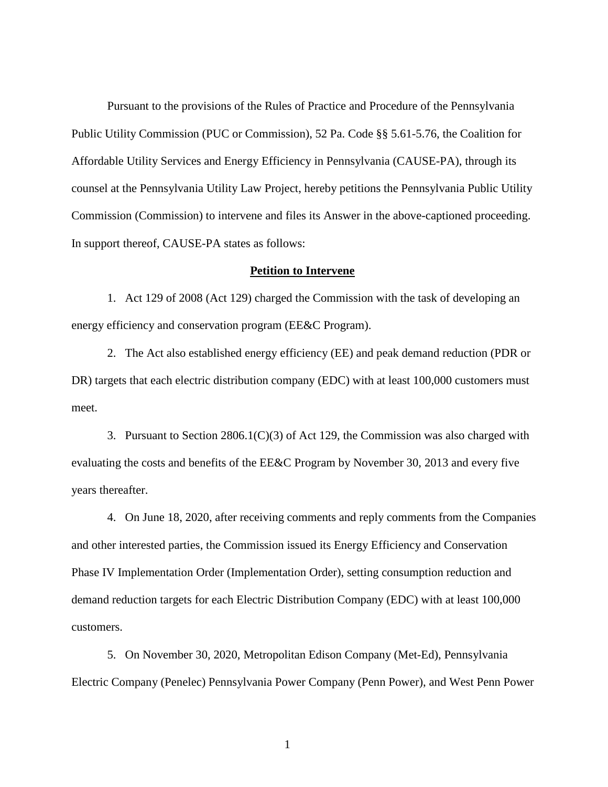Pursuant to the provisions of the Rules of Practice and Procedure of the Pennsylvania Public Utility Commission (PUC or Commission), 52 Pa. Code §§ 5.61-5.76, the Coalition for Affordable Utility Services and Energy Efficiency in Pennsylvania (CAUSE-PA), through its counsel at the Pennsylvania Utility Law Project, hereby petitions the Pennsylvania Public Utility Commission (Commission) to intervene and files its Answer in the above-captioned proceeding. In support thereof, CAUSE-PA states as follows:

#### **Petition to Intervene**

1. Act 129 of 2008 (Act 129) charged the Commission with the task of developing an energy efficiency and conservation program (EE&C Program).

2. The Act also established energy efficiency (EE) and peak demand reduction (PDR or DR) targets that each electric distribution company (EDC) with at least 100,000 customers must meet.

3. Pursuant to Section  $2806.1(C)(3)$  of Act 129, the Commission was also charged with evaluating the costs and benefits of the EE&C Program by November 30, 2013 and every five years thereafter.

4. On June 18, 2020, after receiving comments and reply comments from the Companies and other interested parties, the Commission issued its Energy Efficiency and Conservation Phase IV Implementation Order (Implementation Order), setting consumption reduction and demand reduction targets for each Electric Distribution Company (EDC) with at least 100,000 customers.

5. On November 30, 2020, Metropolitan Edison Company (Met-Ed), Pennsylvania Electric Company (Penelec) Pennsylvania Power Company (Penn Power), and West Penn Power

1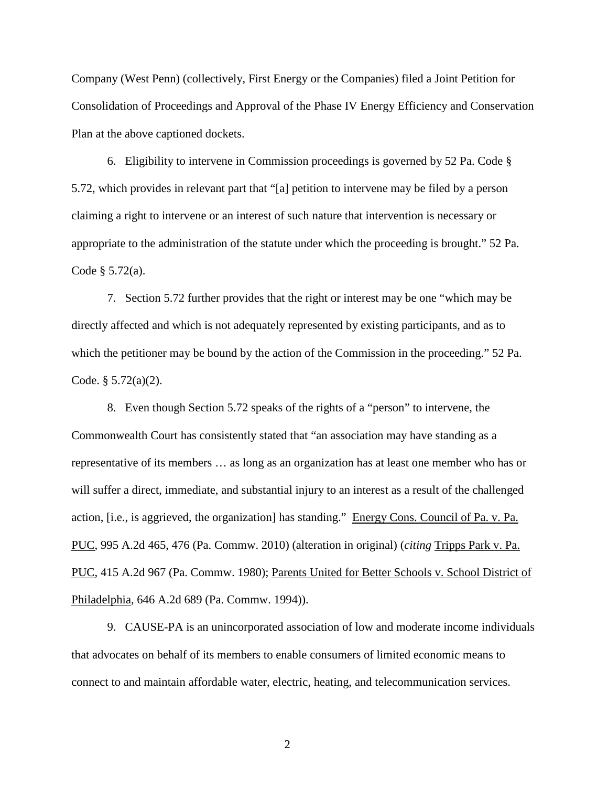Company (West Penn) (collectively, First Energy or the Companies) filed a Joint Petition for Consolidation of Proceedings and Approval of the Phase IV Energy Efficiency and Conservation Plan at the above captioned dockets.

6. Eligibility to intervene in Commission proceedings is governed by 52 Pa. Code § 5.72, which provides in relevant part that "[a] petition to intervene may be filed by a person claiming a right to intervene or an interest of such nature that intervention is necessary or appropriate to the administration of the statute under which the proceeding is brought." 52 Pa. Code § 5.72(a).

7. Section 5.72 further provides that the right or interest may be one "which may be directly affected and which is not adequately represented by existing participants, and as to which the petitioner may be bound by the action of the Commission in the proceeding." 52 Pa. Code. § 5.72(a)(2).

8. Even though Section 5.72 speaks of the rights of a "person" to intervene, the Commonwealth Court has consistently stated that "an association may have standing as a representative of its members … as long as an organization has at least one member who has or will suffer a direct, immediate, and substantial injury to an interest as a result of the challenged action, [i.e., is aggrieved, the organization] has standing." Energy Cons. Council of Pa. v. Pa. PUC, 995 A.2d 465, 476 (Pa. Commw. 2010) (alteration in original) (*citing* Tripps Park v. Pa. PUC, 415 A.2d 967 (Pa. Commw. 1980); Parents United for Better Schools v. School District of Philadelphia, 646 A.2d 689 (Pa. Commw. 1994)).

9. CAUSE-PA is an unincorporated association of low and moderate income individuals that advocates on behalf of its members to enable consumers of limited economic means to connect to and maintain affordable water, electric, heating, and telecommunication services.

2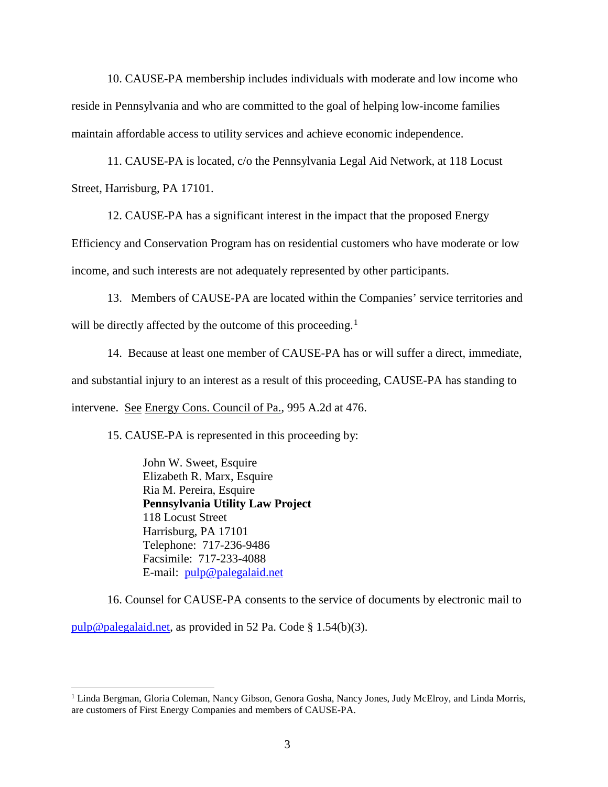10. CAUSE-PA membership includes individuals with moderate and low income who reside in Pennsylvania and who are committed to the goal of helping low-income families maintain affordable access to utility services and achieve economic independence.

11. CAUSE-PA is located, c/o the Pennsylvania Legal Aid Network, at 118 Locust Street, Harrisburg, PA 17101.

12. CAUSE-PA has a significant interest in the impact that the proposed Energy

Efficiency and Conservation Program has on residential customers who have moderate or low income, and such interests are not adequately represented by other participants.

13. Members of CAUSE-PA are located within the Companies' service territories and will be directly affected by the outcome of this proceeding.<sup>[1](#page-4-0)</sup>

14. Because at least one member of CAUSE-PA has or will suffer a direct, immediate, and substantial injury to an interest as a result of this proceeding, CAUSE-PA has standing to intervene. See Energy Cons. Council of Pa., 995 A.2d at 476.

15. CAUSE-PA is represented in this proceeding by:

John W. Sweet, Esquire Elizabeth R. Marx, Esquire Ria M. Pereira, Esquire **Pennsylvania Utility Law Project** 118 Locust Street Harrisburg, PA 17101 Telephone: 717-236-9486 Facsimile: 717-233-4088 E-mail: [pulp@palegalaid.net](mailto:pulp@palegalaid.net)

16. Counsel for CAUSE-PA consents to the service of documents by electronic mail to

[pulp@palegalaid.net,](mailto:pulp@palegalaid.net) as provided in 52 Pa. Code § 1.54(b)(3).

<span id="page-4-0"></span><sup>&</sup>lt;sup>1</sup> Linda Bergman, Gloria Coleman, Nancy Gibson, Genora Gosha, Nancy Jones, Judy McElroy, and Linda Morris, are customers of First Energy Companies and members of CAUSE-PA.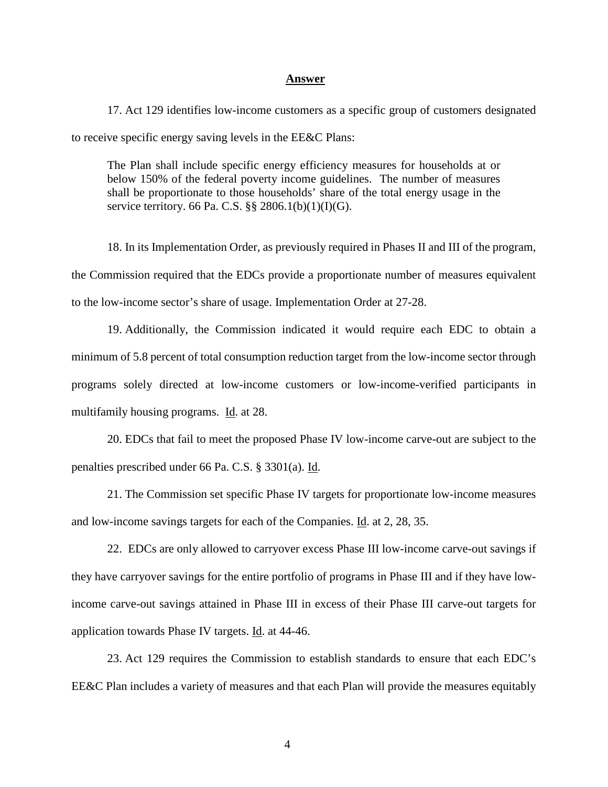#### **Answer**

17. Act 129 identifies low-income customers as a specific group of customers designated to receive specific energy saving levels in the EE&C Plans:

The Plan shall include specific energy efficiency measures for households at or below 150% of the federal poverty income guidelines. The number of measures shall be proportionate to those households' share of the total energy usage in the service territory. 66 Pa. C.S. §§ 2806.1(b)(1)(I)(G).

18. In its Implementation Order, as previously required in Phases II and III of the program, the Commission required that the EDCs provide a proportionate number of measures equivalent to the low-income sector's share of usage. Implementation Order at 27-28.

19. Additionally, the Commission indicated it would require each EDC to obtain a minimum of 5.8 percent of total consumption reduction target from the low-income sector through programs solely directed at low-income customers or low-income-verified participants in multifamily housing programs. Id. at 28.

20. EDCs that fail to meet the proposed Phase IV low-income carve-out are subject to the penalties prescribed under 66 Pa. C.S. § 3301(a). Id.

21. The Commission set specific Phase IV targets for proportionate low-income measures and low-income savings targets for each of the Companies. Id. at 2, 28, 35.

22. EDCs are only allowed to carryover excess Phase III low-income carve-out savings if they have carryover savings for the entire portfolio of programs in Phase III and if they have lowincome carve-out savings attained in Phase III in excess of their Phase III carve-out targets for application towards Phase IV targets. Id. at 44-46.

23. Act 129 requires the Commission to establish standards to ensure that each EDC's EE&C Plan includes a variety of measures and that each Plan will provide the measures equitably

4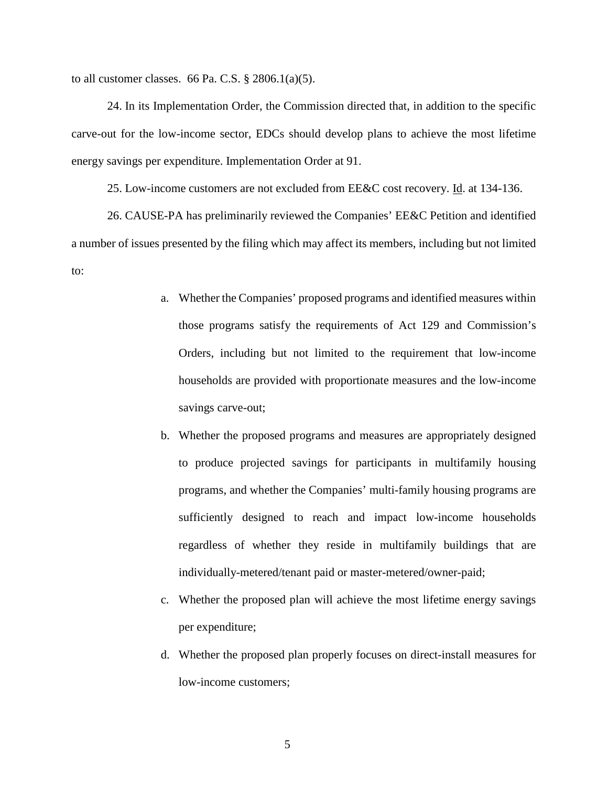to all customer classes. 66 Pa. C.S.  $\S$  2806.1(a)(5).

24. In its Implementation Order, the Commission directed that, in addition to the specific carve-out for the low-income sector, EDCs should develop plans to achieve the most lifetime energy savings per expenditure. Implementation Order at 91.

25. Low-income customers are not excluded from EE&C cost recovery. Id. at 134-136.

26. CAUSE-PA has preliminarily reviewed the Companies' EE&C Petition and identified a number of issues presented by the filing which may affect its members, including but not limited to:

- a. Whether the Companies' proposed programs and identified measures within those programs satisfy the requirements of Act 129 and Commission's Orders, including but not limited to the requirement that low-income households are provided with proportionate measures and the low-income savings carve-out;
- b. Whether the proposed programs and measures are appropriately designed to produce projected savings for participants in multifamily housing programs, and whether the Companies' multi-family housing programs are sufficiently designed to reach and impact low-income households regardless of whether they reside in multifamily buildings that are individually-metered/tenant paid or master-metered/owner-paid;
- c. Whether the proposed plan will achieve the most lifetime energy savings per expenditure;
- d. Whether the proposed plan properly focuses on direct-install measures for low-income customers;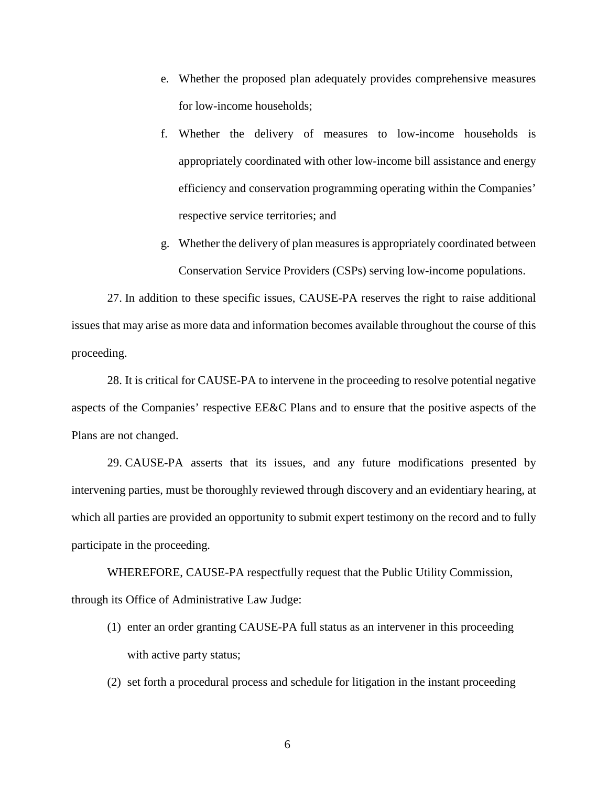- e. Whether the proposed plan adequately provides comprehensive measures for low-income households;
- f. Whether the delivery of measures to low-income households is appropriately coordinated with other low-income bill assistance and energy efficiency and conservation programming operating within the Companies' respective service territories; and
- g. Whether the delivery of plan measures is appropriately coordinated between Conservation Service Providers (CSPs) serving low-income populations.

27. In addition to these specific issues, CAUSE-PA reserves the right to raise additional issues that may arise as more data and information becomes available throughout the course of this proceeding.

28. It is critical for CAUSE-PA to intervene in the proceeding to resolve potential negative aspects of the Companies' respective EE&C Plans and to ensure that the positive aspects of the Plans are not changed.

29. CAUSE-PA asserts that its issues, and any future modifications presented by intervening parties, must be thoroughly reviewed through discovery and an evidentiary hearing, at which all parties are provided an opportunity to submit expert testimony on the record and to fully participate in the proceeding.

WHEREFORE, CAUSE-PA respectfully request that the Public Utility Commission, through its Office of Administrative Law Judge:

- (1) enter an order granting CAUSE-PA full status as an intervener in this proceeding with active party status;
- (2) set forth a procedural process and schedule for litigation in the instant proceeding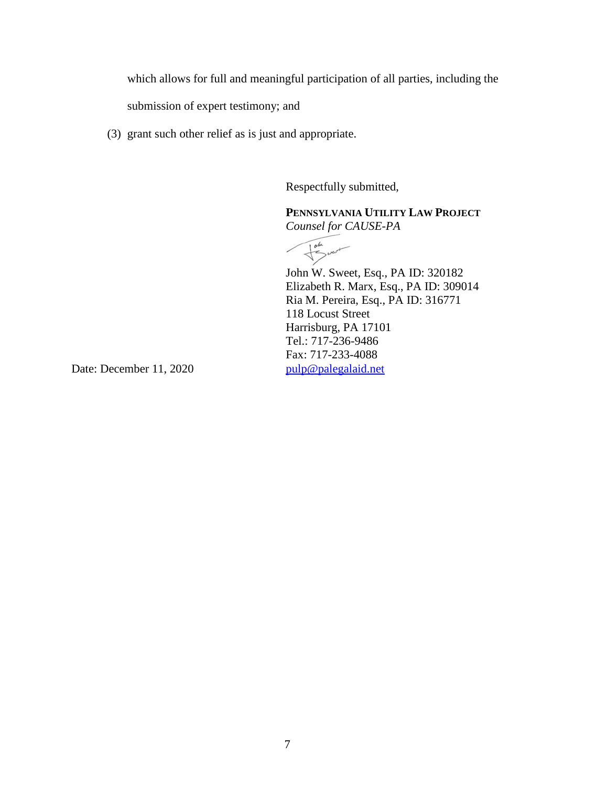which allows for full and meaningful participation of all parties, including the

submission of expert testimony; and

(3) grant such other relief as is just and appropriate.

Respectfully submitted,

**PENNSYLVANIA UTILITY LAW PROJECT** *Counsel for CAUSE-PA*

 $\frac{1}{\sqrt{2}}$ 

John W. Sweet, Esq., PA ID: 320182 Elizabeth R. Marx, Esq., PA ID: 309014 Ria M. Pereira, Esq., PA ID: 316771 118 Locust Street Harrisburg, PA 17101 Tel.: 717-236-9486 Fax: 717-233-4088

Date: December 11, 2020 [pulp@palegalaid.net](mailto:pulp@palegalaid.net)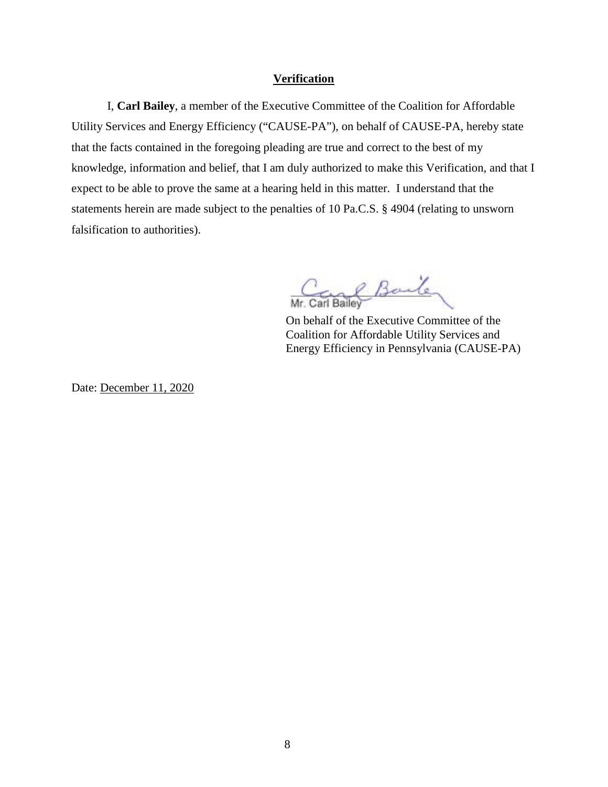### **Verification**

I, **Carl Bailey**, a member of the Executive Committee of the Coalition for Affordable Utility Services and Energy Efficiency ("CAUSE-PA"), on behalf of CAUSE-PA, hereby state that the facts contained in the foregoing pleading are true and correct to the best of my knowledge, information and belief, that I am duly authorized to make this Verification, and that I expect to be able to prove the same at a hearing held in this matter. I understand that the statements herein are made subject to the penalties of 10 Pa.C.S. § 4904 (relating to unsworn falsification to authorities).

Carl Bailey

On behalf of the Executive Committee of the Coalition for Affordable Utility Services and Energy Efficiency in Pennsylvania (CAUSE-PA)

Date: December 11, 2020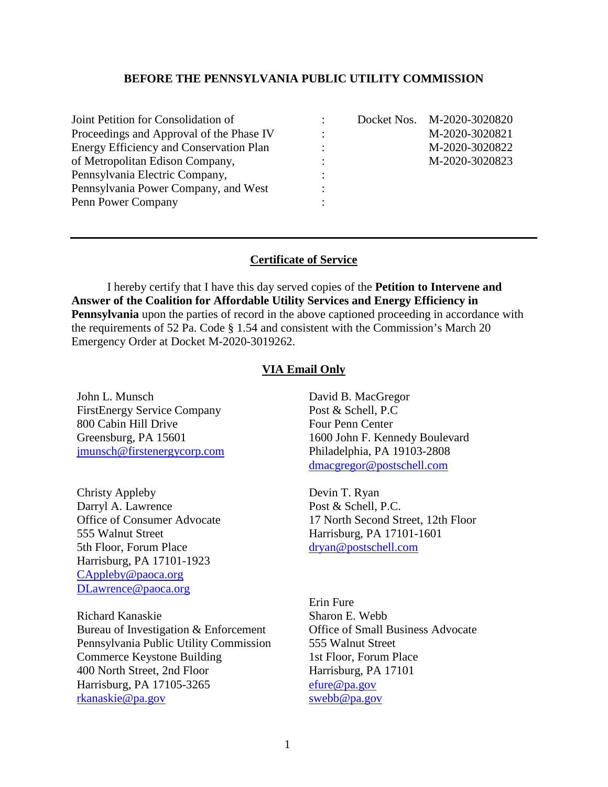## **BEFORE THE PENNSYLVANIA PUBLIC UTILITY COMMISSION**

| Joint Petition for Consolidation of      |  | Docket Nos. M-2020-3020820 |
|------------------------------------------|--|----------------------------|
| Proceedings and Approval of the Phase IV |  | M-2020-3020821             |
| Energy Efficiency and Conservation Plan  |  | M-2020-3020822             |
| of Metropolitan Edison Company,          |  | M-2020-3020823             |
| Pennsylvania Electric Company,           |  |                            |
| Pennsylvania Power Company, and West     |  |                            |
| Penn Power Company                       |  |                            |

## **Certificate of Service**

I hereby certify that I have this day served copies of the **Petition to Intervene and Answer of the Coalition for Affordable Utility Services and Energy Efficiency in Pennsylvania** upon the parties of record in the above captioned proceeding in accordance with the requirements of 52 Pa. Code § 1.54 and consistent with the Commission's March 20 Emergency Order at Docket M-2020-3019262.

## **VIA Email Only**

John L. Munsch FirstEnergy Service Company 800 Cabin Hill Drive Greensburg, PA 15601 [jmunsch@firstenergycorp.com](mailto:jmunsch@firstenergycorp.com)

Christy Appleby Darryl A. Lawrence Office of Consumer Advocate 555 Walnut Street 5th Floor, Forum Place Harrisburg, PA 17101-1923 [CAppleby@paoca.org](mailto:CAppleby@paoca.org) [DLawrence@paoca.org](mailto:DLawrence@paoca.org)

Richard Kanaskie Bureau of Investigation & Enforcement Pennsylvania Public Utility Commission Commerce Keystone Building 400 North Street, 2nd Floor Harrisburg, PA 17105-3265 [rkanaskie@pa.gov](mailto:rkanaskie@pa.gov)

David B. MacGregor Post & Schell, P.C Four Penn Center 1600 John F. Kennedy Boulevard Philadelphia, PA 19103-2808 [dmacgregor@postschell.com](mailto:dmacgregor@postschell.com)

Devin T. Ryan Post & Schell, P.C. 17 North Second Street, 12th Floor Harrisburg, PA 17101-1601 [dryan@postschell.com](mailto:dryan@postschell.com)

Erin Fure Sharon E. Webb Office of Small Business Advocate 555 Walnut Street 1st Floor, Forum Place Harrisburg, PA 17101 [efure@pa.gov](mailto:efure@pa.gov) [swebb@pa.gov](mailto:swebb@pa.gov)